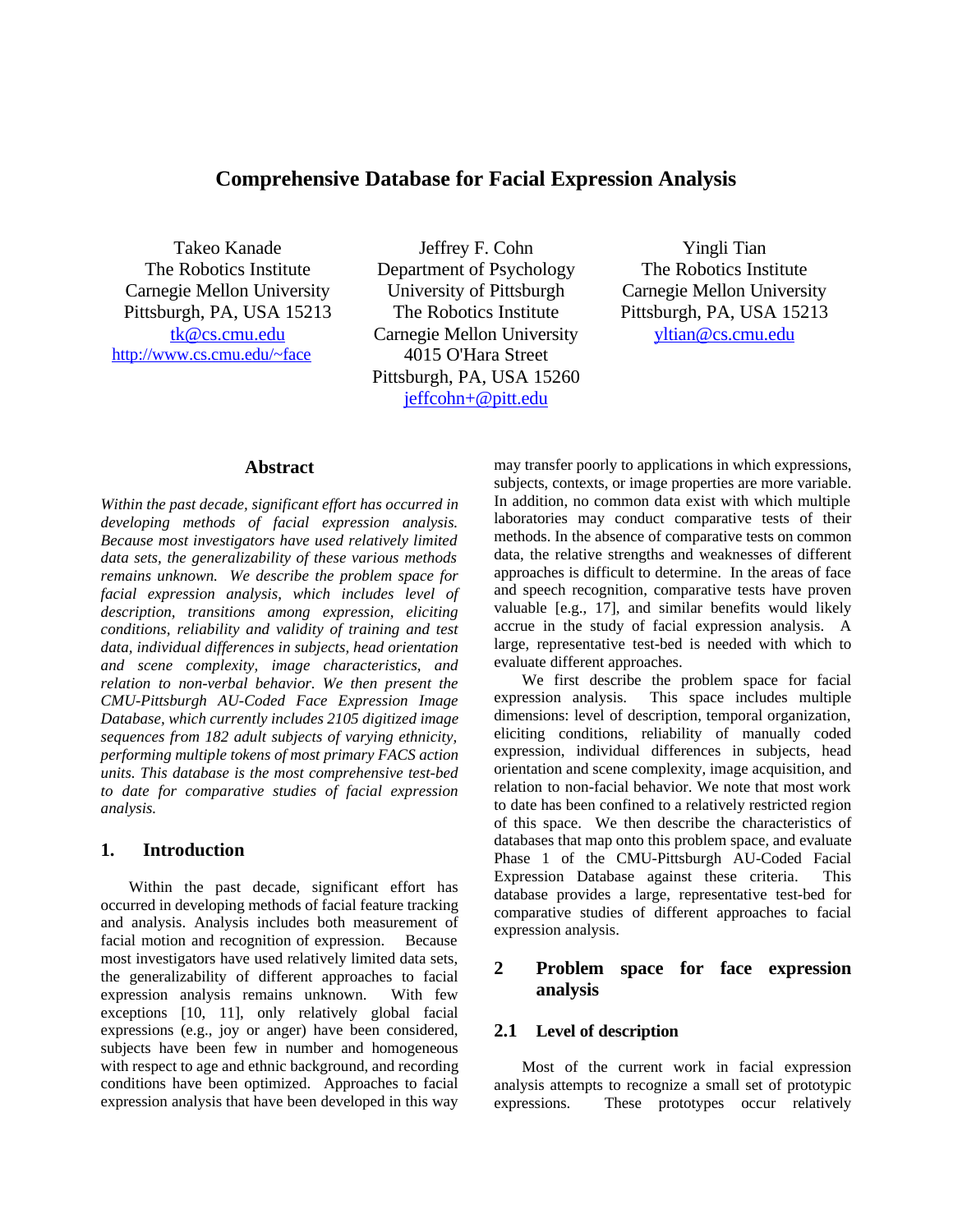## **Comprehensive Database for Facial Expression Analysis**

Takeo Kanade The Robotics Institute Carnegie Mellon University Pittsburgh, PA, USA 15213 tk@cs.cmu.edu http://www.cs.cmu.edu/~face

Jeffrey F. Cohn Department of Psychology University of Pittsburgh The Robotics Institute Carnegie Mellon University 4015 O'Hara Street Pittsburgh, PA, USA 15260 jeffcohn+@pitt.edu

Yingli Tian The Robotics Institute Carnegie Mellon University Pittsburgh, PA, USA 15213 yltian@cs.cmu.edu

#### **Abstract**

*Within the past decade, significant effort has occurred in developing methods of facial expression analysis. Because most investigators have used relatively limited data sets, the generalizability of these various methods remains unknown. We describe the problem space for facial expression analysis, which includes level of description, transitions among expression, eliciting conditions, reliability and validity of training and test data, individual differences in subjects, head orientation and scene complexity, image characteristics, and relation to non-verbal behavior. We then present the CMU-Pittsburgh AU-Coded Face Expression Image Database, which currently includes 2105 digitized image sequences from 182 adult subjects of varying ethnicity, performing multiple tokens of most primary FACS action units. This database is the most comprehensive test-bed to date for comparative studies of facial expression analysis.*

#### **1. Introduction**

Within the past decade, significant effort has occurred in developing methods of facial feature tracking and analysis. Analysis includes both measurement of facial motion and recognition of expression. Because most investigators have used relatively limited data sets, the generalizability of different approaches to facial expression analysis remains unknown. With few exceptions [10, 11], only relatively global facial expressions (e.g., joy or anger) have been considered, subjects have been few in number and homogeneous with respect to age and ethnic background, and recording conditions have been optimized. Approaches to facial expression analysis that have been developed in this way

may transfer poorly to applications in which expressions, subjects, contexts, or image properties are more variable. In addition, no common data exist with which multiple laboratories may conduct comparative tests of their methods. In the absence of comparative tests on common data, the relative strengths and weaknesses of different approaches is difficult to determine. In the areas of face and speech recognition, comparative tests have proven valuable [e.g., 17], and similar benefits would likely accrue in the study of facial expression analysis. A large, representative test-bed is needed with which to evaluate different approaches.

We first describe the problem space for facial expression analysis. This space includes multiple dimensions: level of description, temporal organization, eliciting conditions, reliability of manually coded expression, individual differences in subjects, head orientation and scene complexity, image acquisition, and relation to non-facial behavior. We note that most work to date has been confined to a relatively restricted region of this space. We then describe the characteristics of databases that map onto this problem space, and evaluate Phase 1 of the CMU-Pittsburgh AU-Coded Facial Expression Database against these criteria. This database provides a large, representative test-bed for comparative studies of different approaches to facial expression analysis.

### **2 Problem space for face expression analysis**

#### **2.1 Level of description**

Most of the current work in facial expression analysis attempts to recognize a small set of prototypic expressions. These prototypes occur relatively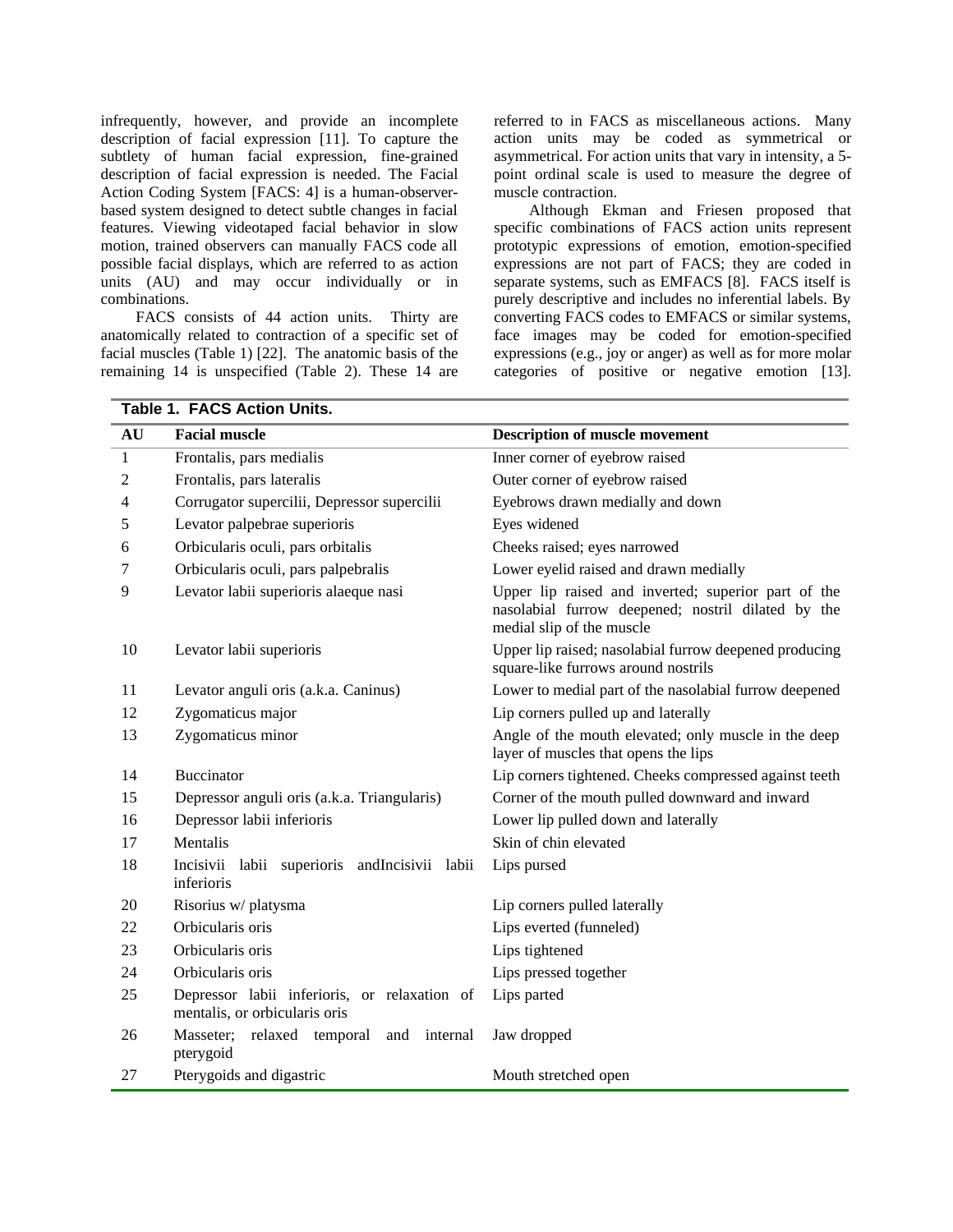infrequently, however, and provide an incomplete description of facial expression [11]. To capture the subtlety of human facial expression, fine-grained description of facial expression is needed. The Facial Action Coding System [FACS: 4] is a human-observerbased system designed to detect subtle changes in facial features. Viewing videotaped facial behavior in slow motion, trained observers can manually FACS code all possible facial displays, which are referred to as action units (AU) and may occur individually or in combinations.

FACS consists of 44 action units. Thirty are anatomically related to contraction of a specific set of facial muscles (Table 1) [22]. The anatomic basis of the remaining 14 is unspecified (Table 2). These 14 are

referred to in FACS as miscellaneous actions. Many action units may be coded as symmetrical or asymmetrical. For action units that vary in intensity, a 5 point ordinal scale is used to measure the degree of muscle contraction.

Although Ekman and Friesen proposed that specific combinations of FACS action units represent prototypic expressions of emotion, emotion-specified expressions are not part of FACS; they are coded in separate systems, such as EMFACS [8]. FACS itself is purely descriptive and includes no inferential labels. By converting FACS codes to EMFACS or similar systems, face images may be coded for emotion-specified expressions (e.g., joy or anger) as well as for more molar categories of positive or negative emotion [13].

| AU             | <b>Facial muscle</b>                                                          | <b>Description of muscle movement</b>                                                                                                  |
|----------------|-------------------------------------------------------------------------------|----------------------------------------------------------------------------------------------------------------------------------------|
| $\mathbf{1}$   | Frontalis, pars medialis                                                      | Inner corner of eyebrow raised                                                                                                         |
| $\overline{2}$ | Frontalis, pars lateralis                                                     | Outer corner of eyebrow raised                                                                                                         |
| $\overline{4}$ | Corrugator supercilii, Depressor supercilii                                   | Eyebrows drawn medially and down                                                                                                       |
| 5              | Levator palpebrae superioris                                                  | Eyes widened                                                                                                                           |
| 6              | Orbicularis oculi, pars orbitalis                                             | Cheeks raised; eyes narrowed                                                                                                           |
| 7              | Orbicularis oculi, pars palpebralis                                           | Lower eyelid raised and drawn medially                                                                                                 |
| 9              | Levator labii superioris alaeque nasi                                         | Upper lip raised and inverted; superior part of the<br>nasolabial furrow deepened; nostril dilated by the<br>medial slip of the muscle |
| 10             | Levator labii superioris                                                      | Upper lip raised; nasolabial furrow deepened producing<br>square-like furrows around nostrils                                          |
| 11             | Levator anguli oris (a.k.a. Caninus)                                          | Lower to medial part of the nasolabial furrow deepened                                                                                 |
| 12             | Zygomaticus major                                                             | Lip corners pulled up and laterally                                                                                                    |
| 13             | Zygomaticus minor                                                             | Angle of the mouth elevated; only muscle in the deep<br>layer of muscles that opens the lips                                           |
| 14             | <b>Buccinator</b>                                                             | Lip corners tightened. Cheeks compressed against teeth                                                                                 |
| 15             | Depressor anguli oris (a.k.a. Triangularis)                                   | Corner of the mouth pulled downward and inward                                                                                         |
| 16             | Depressor labii inferioris                                                    | Lower lip pulled down and laterally                                                                                                    |
| 17             | Mentalis                                                                      | Skin of chin elevated                                                                                                                  |
| 18             | Incisivii labii superioris andIncisivii labii<br>inferioris                   | Lips pursed                                                                                                                            |
| 20             | Risorius w/ platysma                                                          | Lip corners pulled laterally                                                                                                           |
| 22             | Orbicularis oris                                                              | Lips everted (funneled)                                                                                                                |
| 23             | Orbicularis oris                                                              | Lips tightened                                                                                                                         |
| 24             | Orbicularis oris                                                              | Lips pressed together                                                                                                                  |
| 25             | Depressor labii inferioris, or relaxation of<br>mentalis, or orbicularis oris | Lips parted                                                                                                                            |
| 26             | Masseter; relaxed temporal<br>and internal<br>pterygoid                       | Jaw dropped                                                                                                                            |
| 27             | Pterygoids and digastric                                                      | Mouth stretched open                                                                                                                   |

**Table 1. FACS Action Units.**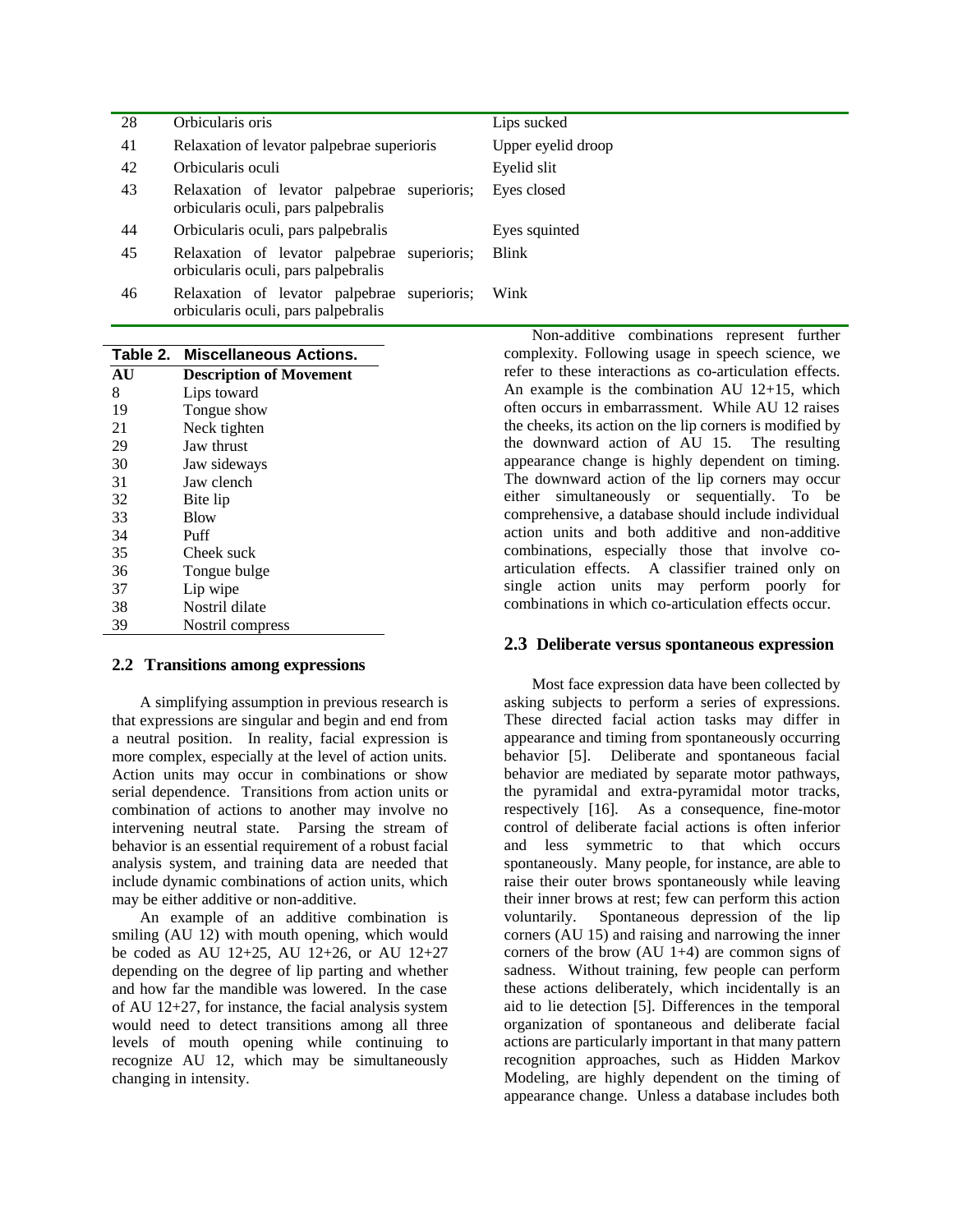| 28 | Orbicularis oris                                                                   | Lips sucked        |
|----|------------------------------------------------------------------------------------|--------------------|
| 41 | Relaxation of levator palpebrae superioris                                         | Upper eyelid droop |
| 42 | Orbicularis oculi                                                                  | Evelid slit        |
| 43 | Relaxation of levator palpebrae superioris;<br>orbicularis oculi, pars palpebralis | Eyes closed        |
| 44 | Orbicularis oculi, pars palpebralis                                                | Eyes squinted      |
| 45 | Relaxation of levator palpebrae superioris;<br>orbicularis oculi, pars palpebralis | Blink              |
| 46 | Relaxation of levator palpebrae superioris;<br>orbicularis oculi, pars palpebralis | Wink               |

**Table 2. Miscellaneous Actions. AU Description of Movement** 8 Lips toward 19 Tongue show 21 Neck tighten 29 Jaw thrust 30 Jaw sideways 31 Jaw clench 32 Bite lip 33 Blow 34 Puff 35 Cheek suck 36 Tongue bulge<br>37 Lin wine Lip wipe 38 Nostril dilate 39 Nostril compress

#### **2.2 Transitions among expressions**

A simplifying assumption in previous research is that expressions are singular and begin and end from a neutral position. In reality, facial expression is more complex, especially at the level of action units. Action units may occur in combinations or show serial dependence. Transitions from action units or combination of actions to another may involve no intervening neutral state. Parsing the stream of behavior is an essential requirement of a robust facial analysis system, and training data are needed that include dynamic combinations of action units, which may be either additive or non-additive.

An example of an additive combination is smiling (AU 12) with mouth opening, which would be coded as AU 12+25, AU 12+26, or AU 12+27 depending on the degree of lip parting and whether and how far the mandible was lowered. In the case of AU 12+27, for instance, the facial analysis system would need to detect transitions among all three levels of mouth opening while continuing to recognize AU 12, which may be simultaneously changing in intensity.

Non-additive combinations represent further complexity. Following usage in speech science, we refer to these interactions as co-articulation effects. An example is the combination AU 12+15, which often occurs in embarrassment. While AU 12 raises the cheeks, its action on the lip corners is modified by the downward action of AU 15. The resulting appearance change is highly dependent on timing. The downward action of the lip corners may occur either simultaneously or sequentially. To be comprehensive, a database should include individual action units and both additive and non-additive combinations, especially those that involve coarticulation effects. A classifier trained only on single action units may perform poorly for combinations in which co-articulation effects occur.

#### **2.3 Deliberate versus spontaneous expression**

Most face expression data have been collected by asking subjects to perform a series of expressions. These directed facial action tasks may differ in appearance and timing from spontaneously occurring behavior [5]. Deliberate and spontaneous facial behavior are mediated by separate motor pathways, the pyramidal and extra-pyramidal motor tracks, respectively [16]. As a consequence, fine-motor control of deliberate facial actions is often inferior and less symmetric to that which occurs spontaneously. Many people, for instance, are able to raise their outer brows spontaneously while leaving their inner brows at rest; few can perform this action voluntarily. Spontaneous depression of the lip corners (AU 15) and raising and narrowing the inner corners of the brow  $(AU 1+4)$  are common signs of sadness. Without training, few people can perform these actions deliberately, which incidentally is an aid to lie detection [5]. Differences in the temporal organization of spontaneous and deliberate facial actions are particularly important in that many pattern recognition approaches, such as Hidden Markov Modeling, are highly dependent on the timing of appearance change. Unless a database includes both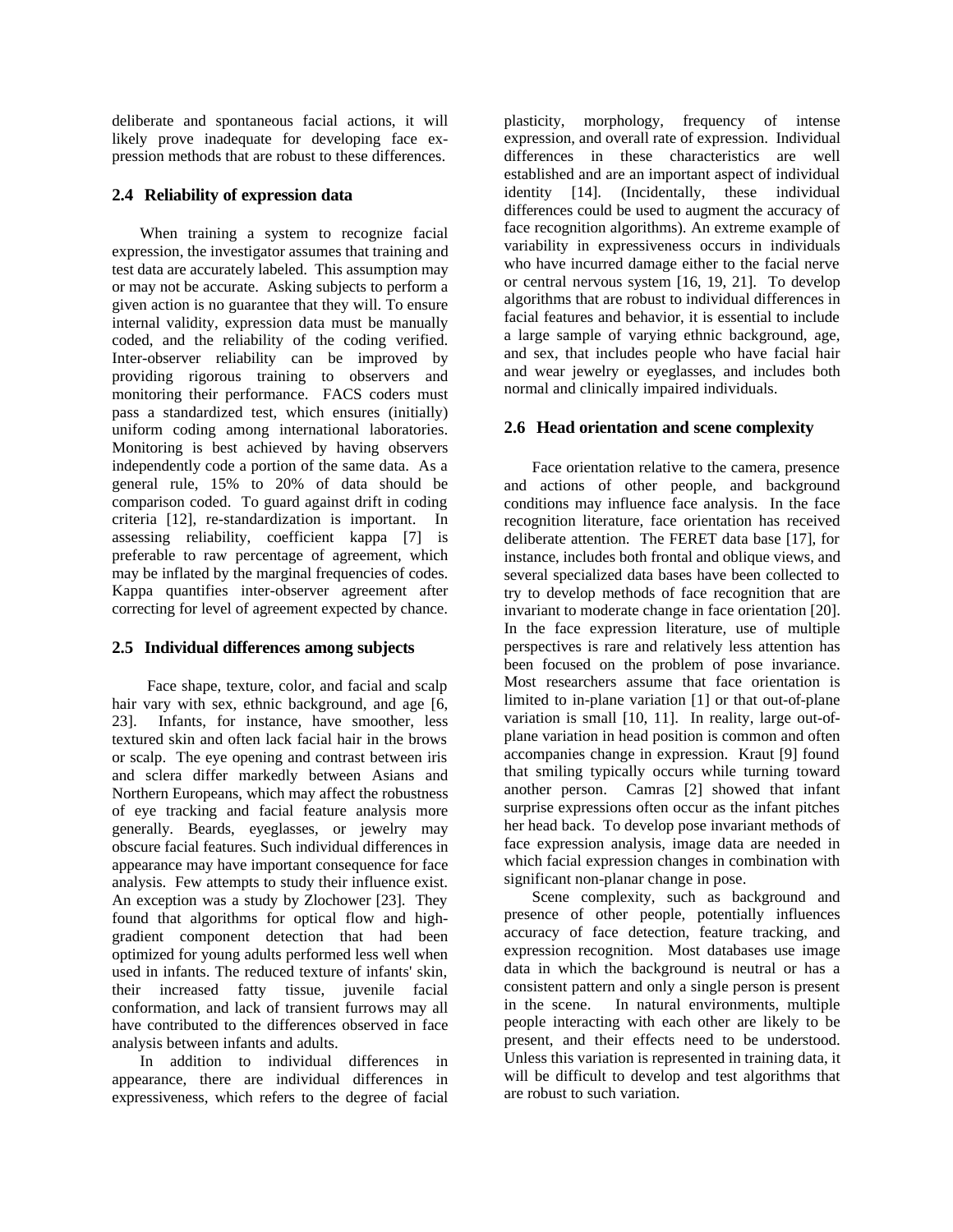deliberate and spontaneous facial actions, it will likely prove inadequate for developing face expression methods that are robust to these differences.

### **2.4 Reliability of expression data**

When training a system to recognize facial expression, the investigator assumes that training and test data are accurately labeled. This assumption may or may not be accurate. Asking subjects to perform a given action is no guarantee that they will. To ensure internal validity, expression data must be manually coded, and the reliability of the coding verified. Inter-observer reliability can be improved by providing rigorous training to observers and monitoring their performance. FACS coders must pass a standardized test, which ensures (initially) uniform coding among international laboratories. Monitoring is best achieved by having observers independently code a portion of the same data. As a general rule, 15% to 20% of data should be comparison coded. To guard against drift in coding criteria [12], re-standardization is important. In assessing reliability, coefficient kappa [7] is preferable to raw percentage of agreement, which may be inflated by the marginal frequencies of codes. Kappa quantifies inter-observer agreement after correcting for level of agreement expected by chance.

### **2.5 Individual differences among subjects**

Face shape, texture, color, and facial and scalp hair vary with sex, ethnic background, and age [6, 23]. Infants, for instance, have smoother, less textured skin and often lack facial hair in the brows or scalp. The eye opening and contrast between iris and sclera differ markedly between Asians and Northern Europeans, which may affect the robustness of eye tracking and facial feature analysis more generally. Beards, eyeglasses, or jewelry may obscure facial features. Such individual differences in appearance may have important consequence for face analysis. Few attempts to study their influence exist. An exception was a study by Zlochower [23]. They found that algorithms for optical flow and highgradient component detection that had been optimized for young adults performed less well when used in infants. The reduced texture of infants' skin, their increased fatty tissue, juvenile facial conformation, and lack of transient furrows may all have contributed to the differences observed in face analysis between infants and adults.

In addition to individual differences in appearance, there are individual differences in expressiveness, which refers to the degree of facial plasticity, morphology, frequency of intense expression, and overall rate of expression. Individual differences in these characteristics are well established and are an important aspect of individual identity [14]. (Incidentally, these individual differences could be used to augment the accuracy of face recognition algorithms). An extreme example of variability in expressiveness occurs in individuals who have incurred damage either to the facial nerve or central nervous system [16, 19, 21]. To develop algorithms that are robust to individual differences in facial features and behavior, it is essential to include a large sample of varying ethnic background, age, and sex, that includes people who have facial hair and wear jewelry or eyeglasses, and includes both normal and clinically impaired individuals.

### **2.6 Head orientation and scene complexity**

Face orientation relative to the camera, presence and actions of other people, and background conditions may influence face analysis. In the face recognition literature, face orientation has received deliberate attention. The FERET data base [17], for instance, includes both frontal and oblique views, and several specialized data bases have been collected to try to develop methods of face recognition that are invariant to moderate change in face orientation [20]. In the face expression literature, use of multiple perspectives is rare and relatively less attention has been focused on the problem of pose invariance. Most researchers assume that face orientation is limited to in-plane variation [1] or that out-of-plane variation is small [10, 11]. In reality, large out-ofplane variation in head position is common and often accompanies change in expression. Kraut [9] found that smiling typically occurs while turning toward another person. Camras [2] showed that infant surprise expressions often occur as the infant pitches her head back. To develop pose invariant methods of face expression analysis, image data are needed in which facial expression changes in combination with significant non-planar change in pose.

Scene complexity, such as background and presence of other people, potentially influences accuracy of face detection, feature tracking, and expression recognition. Most databases use image data in which the background is neutral or has a consistent pattern and only a single person is present in the scene. In natural environments, multiple people interacting with each other are likely to be present, and their effects need to be understood. Unless this variation is represented in training data, it will be difficult to develop and test algorithms that are robust to such variation.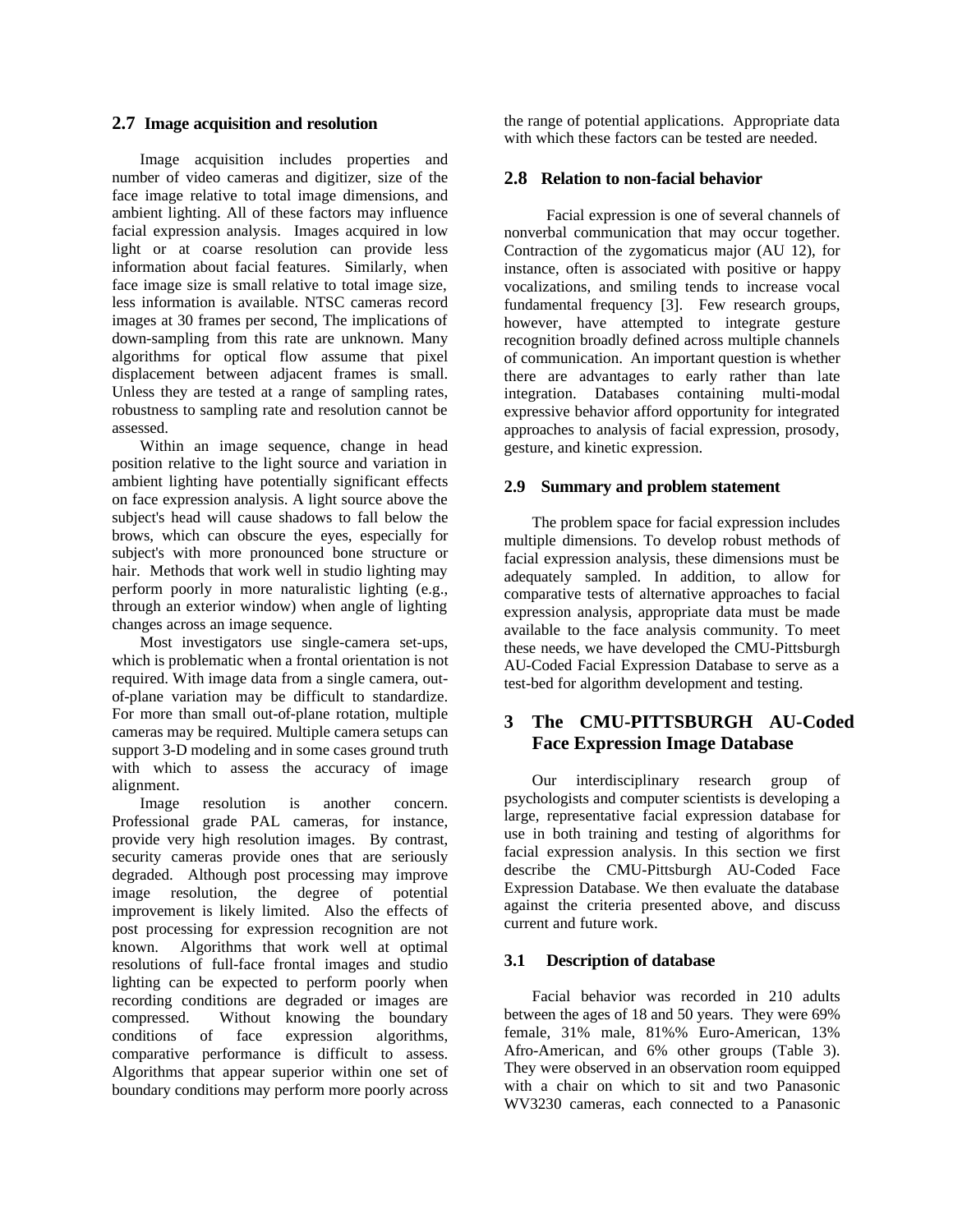#### **2.7 Image acquisition and resolution**

Image acquisition includes properties and number of video cameras and digitizer, size of the face image relative to total image dimensions, and ambient lighting. All of these factors may influence facial expression analysis. Images acquired in low light or at coarse resolution can provide less information about facial features. Similarly, when face image size is small relative to total image size, less information is available. NTSC cameras record images at 30 frames per second, The implications of down-sampling from this rate are unknown. Many algorithms for optical flow assume that pixel displacement between adjacent frames is small. Unless they are tested at a range of sampling rates, robustness to sampling rate and resolution cannot be assessed.

Within an image sequence, change in head position relative to the light source and variation in ambient lighting have potentially significant effects on face expression analysis. A light source above the subject's head will cause shadows to fall below the brows, which can obscure the eyes, especially for subject's with more pronounced bone structure or hair. Methods that work well in studio lighting may perform poorly in more naturalistic lighting (e.g., through an exterior window) when angle of lighting changes across an image sequence.

Most investigators use single-camera set-ups, which is problematic when a frontal orientation is not required. With image data from a single camera, outof-plane variation may be difficult to standardize. For more than small out-of-plane rotation, multiple cameras may be required. Multiple camera setups can support 3-D modeling and in some cases ground truth with which to assess the accuracy of image alignment.

Image resolution is another concern. Professional grade PAL cameras, for instance, provide very high resolution images. By contrast, security cameras provide ones that are seriously degraded. Although post processing may improve image resolution, the degree of potential improvement is likely limited. Also the effects of post processing for expression recognition are not known. Algorithms that work well at optimal resolutions of full-face frontal images and studio lighting can be expected to perform poorly when recording conditions are degraded or images are compressed. Without knowing the boundary conditions of face expression algorithms. of face expression comparative performance is difficult to assess. Algorithms that appear superior within one set of boundary conditions may perform more poorly across the range of potential applications. Appropriate data with which these factors can be tested are needed.

### **2.8 Relation to non-facial behavior**

Facial expression is one of several channels of nonverbal communication that may occur together. Contraction of the zygomaticus major (AU 12), for instance, often is associated with positive or happy vocalizations, and smiling tends to increase vocal fundamental frequency [3]. Few research groups, however, have attempted to integrate gesture recognition broadly defined across multiple channels of communication. An important question is whether there are advantages to early rather than late integration. Databases containing multi-modal expressive behavior afford opportunity for integrated approaches to analysis of facial expression, prosody, gesture, and kinetic expression.

#### **2.9 Summary and problem statement**

The problem space for facial expression includes multiple dimensions. To develop robust methods of facial expression analysis, these dimensions must be adequately sampled. In addition, to allow for comparative tests of alternative approaches to facial expression analysis, appropriate data must be made available to the face analysis community. To meet these needs, we have developed the CMU-Pittsburgh AU-Coded Facial Expression Database to serve as a test-bed for algorithm development and testing.

# **3 The CMU-PITTSBURGH AU-Coded Face Expression Image Database**

Our interdisciplinary research group of psychologists and computer scientists is developing a large, representative facial expression database for use in both training and testing of algorithms for facial expression analysis. In this section we first describe the CMU-Pittsburgh AU-Coded Face Expression Database. We then evaluate the database against the criteria presented above, and discuss current and future work.

### **3.1 Description of database**

Facial behavior was recorded in 210 adults between the ages of 18 and 50 years. They were 69% female, 31% male, 81%% Euro-American, 13% Afro-American, and 6% other groups (Table 3). They were observed in an observation room equipped with a chair on which to sit and two Panasonic WV3230 cameras, each connected to a Panasonic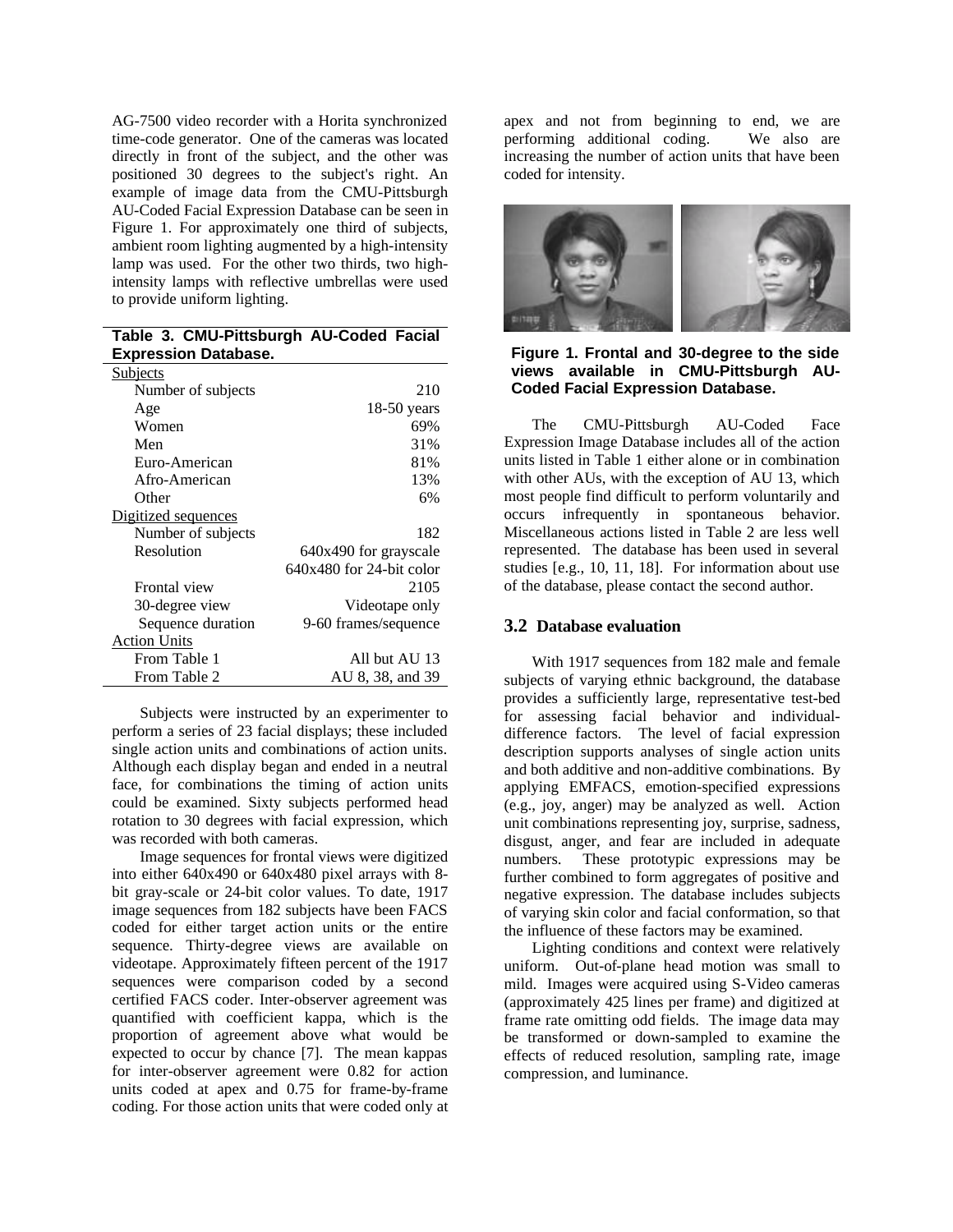AG-7500 video recorder with a Horita synchronized time-code generator. One of the cameras was located directly in front of the subject, and the other was positioned 30 degrees to the subject's right. An example of image data from the CMU-Pittsburgh AU-Coded Facial Expression Database can be seen in Figure 1. For approximately one third of subjects, ambient room lighting augmented by a high-intensity lamp was used. For the other two thirds, two highintensity lamps with reflective umbrellas were used to provide uniform lighting.

**Table 3. CMU-Pittsburgh AU-Coded Facial Expression Database.**

| Subjects            |                            |  |  |
|---------------------|----------------------------|--|--|
| Number of subjects  | 210                        |  |  |
| Age                 | $18-50$ years              |  |  |
| Women               | 69%                        |  |  |
| Men                 | 31%                        |  |  |
| Euro-American       | 81%                        |  |  |
| Afro-American       | 13%                        |  |  |
| Other               | 6%                         |  |  |
| Digitized sequences |                            |  |  |
| Number of subjects  | 182                        |  |  |
| Resolution          | 640x490 for grayscale      |  |  |
|                     | $640x480$ for 24-bit color |  |  |
| Frontal view        | 2105                       |  |  |
| 30-degree view      | Videotape only             |  |  |
| Sequence duration   | 9-60 frames/sequence       |  |  |
| <b>Action Units</b> |                            |  |  |
| From Table 1        | All but AU 13              |  |  |
| From Table 2        | AU 8, 38, and 39           |  |  |

Subjects were instructed by an experimenter to perform a series of 23 facial displays; these included single action units and combinations of action units. Although each display began and ended in a neutral face, for combinations the timing of action units could be examined. Sixty subjects performed head rotation to 30 degrees with facial expression, which was recorded with both cameras.

Image sequences for frontal views were digitized into either 640x490 or 640x480 pixel arrays with 8 bit gray-scale or 24-bit color values. To date, 1917 image sequences from 182 subjects have been FACS coded for either target action units or the entire sequence. Thirty-degree views are available on videotape. Approximately fifteen percent of the 1917 sequences were comparison coded by a second certified FACS coder. Inter-observer agreement was quantified with coefficient kappa, which is the proportion of agreement above what would be expected to occur by chance [7]. The mean kappas for inter-observer agreement were 0.82 for action units coded at apex and 0.75 for frame-by-frame coding. For those action units that were coded only at

apex and not from beginning to end, we are performing additional coding. We also are increasing the number of action units that have been coded for intensity.



**Figure 1. Frontal and 30-degree to the side views available in CMU-Pittsburgh AU-Coded Facial Expression Database.**

The CMU-Pittsburgh AU-Coded Face Expression Image Database includes all of the action units listed in Table 1 either alone or in combination with other AUs, with the exception of AU 13, which most people find difficult to perform voluntarily and occurs infrequently in spontaneous behavior. Miscellaneous actions listed in Table 2 are less well represented.The database has been used in several studies [e.g., 10, 11, 18]. For information about use of the database, please contact the second author.

#### **3.2 Database evaluation**

With 1917 sequences from 182 male and female subjects of varying ethnic background, the database provides a sufficiently large, representative test-bed for assessing facial behavior and individualdifference factors. The level of facial expression description supports analyses of single action units and both additive and non-additive combinations. By applying EMFACS, emotion-specified expressions (e.g., joy, anger) may be analyzed as well. Action unit combinations representing joy, surprise, sadness, disgust, anger, and fear are included in adequate numbers. These prototypic expressions may be further combined to form aggregates of positive and negative expression. The database includes subjects of varying skin color and facial conformation, so that the influence of these factors may be examined.

Lighting conditions and context were relatively uniform. Out-of-plane head motion was small to mild. Images were acquired using S-Video cameras (approximately 425 lines per frame) and digitized at frame rate omitting odd fields. The image data may be transformed or down-sampled to examine the effects of reduced resolution, sampling rate, image compression, and luminance.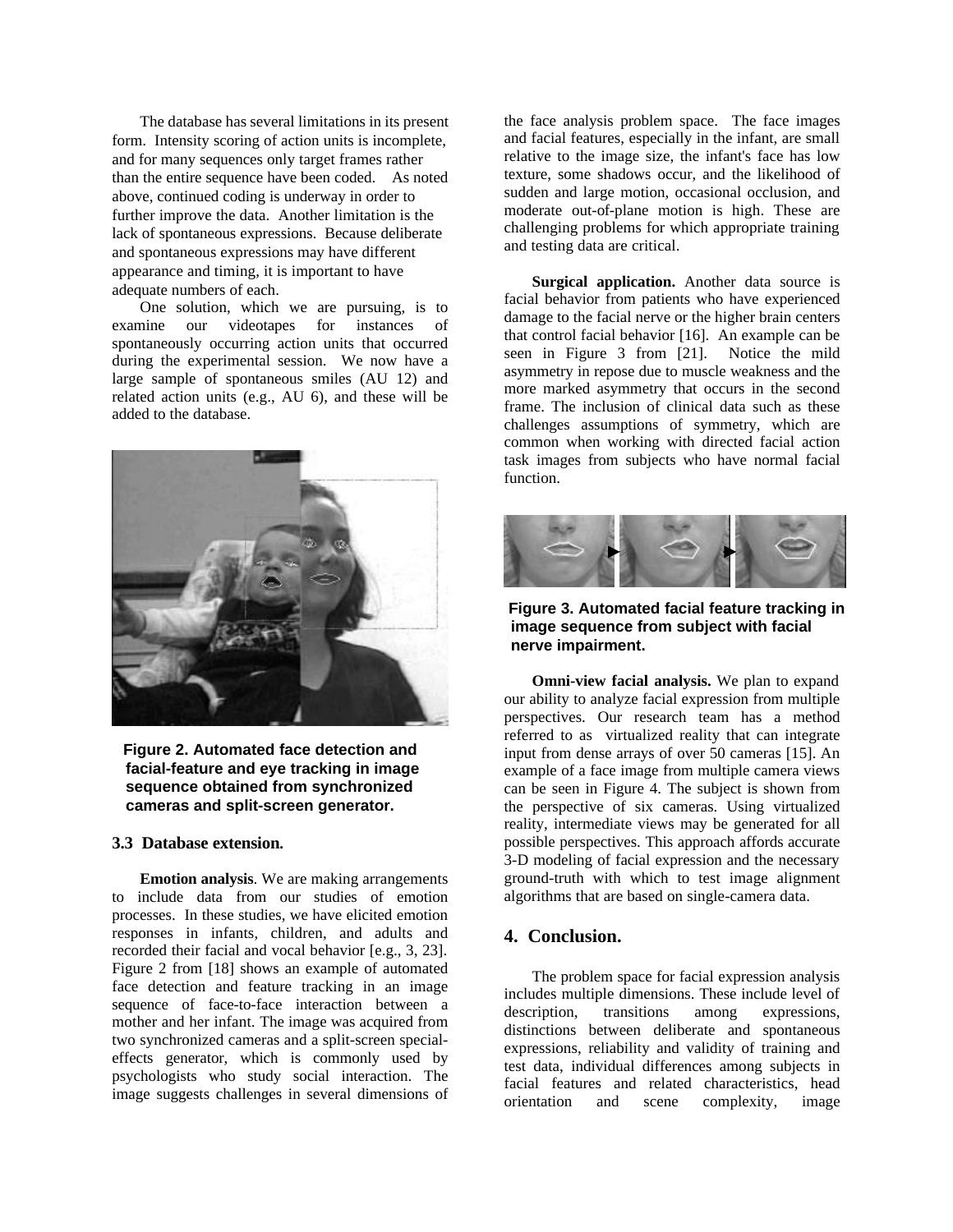The database has several limitations in its present form. Intensity scoring of action units is incomplete, and for many sequences only target frames rather than the entire sequence have been coded. As noted above, continued coding is underway in order to further improve the data. Another limitation is the lack of spontaneous expressions. Because deliberate and spontaneous expressions may have different appearance and timing, it is important to have adequate numbers of each.

One solution, which we are pursuing, is to examine our videotapes for instances of spontaneously occurring action units that occurred during the experimental session. We now have a large sample of spontaneous smiles (AU 12) and related action units (e.g., AU 6), and these will be added to the database.



**Figure 2. Automated face detection and facial-feature and eye tracking in image sequence obtained from synchronized cameras and split-screen generator.**

#### **3.3 Database extension.**

**Emotion analysis**. We are making arrangements to include data from our studies of emotion processes. In these studies, we have elicited emotion responses in infants, children, and adults and recorded their facial and vocal behavior [e.g., 3, 23]. Figure 2 from [18] shows an example of automated face detection and feature tracking in an image sequence of face-to-face interaction between a mother and her infant. The image was acquired from two synchronized cameras and a split-screen specialeffects generator, which is commonly used by psychologists who study social interaction. The image suggests challenges in several dimensions of

the face analysis problem space. The face images and facial features, especially in the infant, are small relative to the image size, the infant's face has low texture, some shadows occur, and the likelihood of sudden and large motion, occasional occlusion, and moderate out-of-plane motion is high. These are challenging problems for which appropriate training and testing data are critical.

**Surgical application.** Another data source is facial behavior from patients who have experienced damage to the facial nerve or the higher brain centers that control facial behavior [16]. An example can be seen in Figure 3 from [21]. Notice the mild asymmetry in repose due to muscle weakness and the more marked asymmetry that occurs in the second frame. The inclusion of clinical data such as these challenges assumptions of symmetry, which are common when working with directed facial action task images from subjects who have normal facial function.



**Figure 3. Automated facial feature tracking in image sequence from subject with facial nerve impairment.**

**Omni-view facial analysis.** We plan to expand our ability to analyze facial expression from multiple perspectives. Our research team has a method referred to as virtualized reality that can integrate input from dense arrays of over 50 cameras [15]. An example of a face image from multiple camera views can be seen in Figure 4. The subject is shown from the perspective of six cameras. Using virtualized reality, intermediate views may be generated for all possible perspectives. This approach affords accurate 3-D modeling of facial expression and the necessary ground-truth with which to test image alignment algorithms that are based on single-camera data.

### **4. Conclusion.**

The problem space for facial expression analysis includes multiple dimensions. These include level of description, transitions among expressions, distinctions between deliberate and spontaneous expressions, reliability and validity of training and test data, individual differences among subjects in facial features and related characteristics, head orientation and scene complexity, image